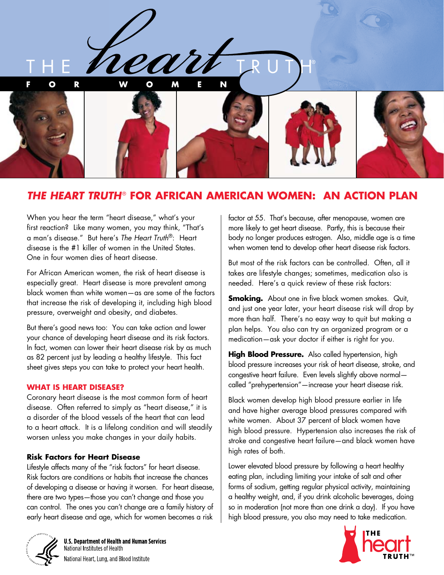

# *THE HEART TRUTH*® **FOR AFRICAN AMERICAN WOMEN: AN ACTION PLAN**

When you hear the term "heart disease," what's your first reaction? Like many women, you may think, "That's a man's disease." But here's *The Heart Truth*®: Heart disease is the #1 killer of women in the United States. One in four women dies of heart disease.

For African American women, the risk of heart disease is especially great. Heart disease is more prevalent among black women than white women—as are some of the factors that increase the risk of developing it, including high blood pressure, overweight and obesity, and diabetes.

But there's good news too: You can take action and lower your chance of developing heart disease and its risk factors. In fact, women can lower their heart disease risk by as much as 82 percent just by leading a healthy lifestyle. This fact sheet gives steps you can take to protect your heart health.

#### **WHAT IS HEART DISEASE?**

Coronary heart disease is the most common form of heart disease. Often referred to simply as "heart disease," it is a disorder of the blood vessels of the heart that can lead to a heart attack. It is a lifelong condition and will steadily worsen unless you make changes in your daily habits.

#### **Risk Factors for Heart Disease**

Lifestyle affects many of the "risk factors" for heart disease. Risk factors are conditions or habits that increase the chances of developing a disease or having it worsen. For heart disease, there are two types—those you can't change and those you can control. The ones you can't change are a family history of early heart disease and age, which for women becomes a risk

factor at 55. That's because, after menopause, women are more likely to get heart disease. Partly, this is because their body no longer produces estrogen. Also, middle age is a time when women tend to develop other heart disease risk factors.

But most of the risk factors can be controlled. Often, all it takes are lifestyle changes; sometimes, medication also is needed. Here's a quick review of these risk factors:

**Smoking.** About one in five black women smokes. Quit, and just one year later, your heart disease risk will drop by more than half. There's no easy way to quit but making a plan helps. You also can try an organized program or a medication—ask your doctor if either is right for you.

**High Blood Pressure.** Also called hypertension, high blood pressure increases your risk of heart disease, stroke, and congestive heart failure. Even levels slightly above normal called "prehypertension"—increase your heart disease risk.

Black women develop high blood pressure earlier in life and have higher average blood pressures compared with white women. About 37 percent of black women have high blood pressure. Hypertension also increases the risk of stroke and congestive heart failure—and black women have high rates of both.

Lower elevated blood pressure by following a heart healthy eating plan, including limiting your intake of salt and other forms of sodium, getting regular physical activity, maintaining a healthy weight, and, if you drink alcoholic beverages, doing so in moderation (not more than one drink a day). If you have high blood pressure, you also may need to take medication.